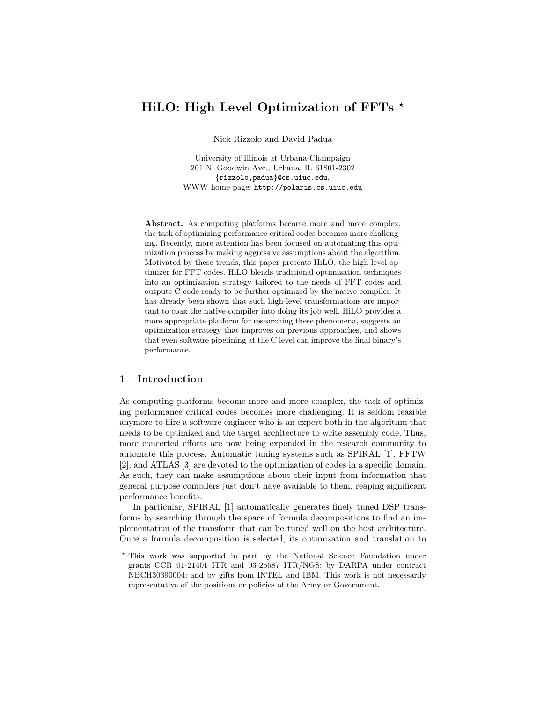# HiLO: High Level Optimization of FFTs  $\star$

Nick Rizzolo and David Padua

University of Illinois at Urbana-Champaign 201 N. Goodwin Ave., Urbana, IL 61801-2302 {rizzolo,padua}@cs.uiuc.edu, WWW home page: http://polaris.cs.uiuc.edu

Abstract. As computing platforms become more and more complex, the task of optimizing performance critical codes becomes more challenging. Recently, more attention has been focused on automating this optimization process by making aggressive assumptions about the algorithm. Motivated by these trends, this paper presents HiLO, the high-level optimizer for FFT codes. HiLO blends traditional optimization techniques into an optimization strategy tailored to the needs of FFT codes and outputs C code ready to be further optimized by the native compiler. It has already been shown that such high-level transformations are important to coax the native compiler into doing its job well. HiLO provides a more appropriate platform for researching these phenomena, suggests an optimization strategy that improves on previous approaches, and shows that even software pipelining at the C level can improve the final binary's performance.

# 1 Introduction

As computing platforms become more and more complex, the task of optimizing performance critical codes becomes more challenging. It is seldom feasible anymore to hire a software engineer who is an expert both in the algorithm that needs to be optimized and the target architecture to write assembly code. Thus, more concerted efforts are now being expended in the research community to automate this process. Automatic tuning systems such as SPIRAL [1], FFTW [2], and ATLAS [3] are devoted to the optimization of codes in a specific domain. As such, they can make assumptions about their input from information that general purpose compilers just don't have available to them, reaping significant performance benefits.

In particular, SPIRAL [1] automatically generates finely tuned DSP transforms by searching through the space of formula decompositions to find an implementation of the transform that can be tuned well on the host architecture. Once a formula decomposition is selected, its optimization and translation to

<sup>⋆</sup> This work was supported in part by the National Science Foundation under grants CCR 01-21401 ITR and 03-25687 ITR/NGS; by DARPA under contract NBCH30390004; and by gifts from INTEL and IBM. This work is not necessarily representative of the positions or policies of the Army or Government.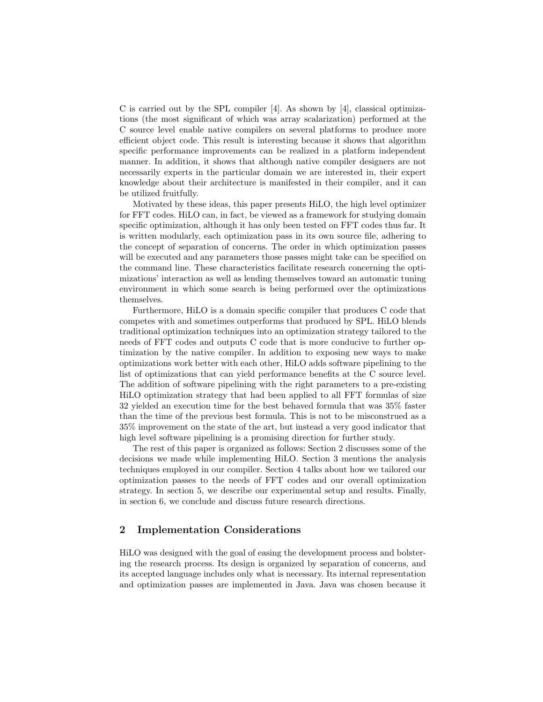C is carried out by the SPL compiler [4]. As shown by [4], classical optimizations (the most significant of which was array scalarization) performed at the C source level enable native compilers on several platforms to produce more efficient object code. This result is interesting because it shows that algorithm specific performance improvements can be realized in a platform independent manner. In addition, it shows that although native compiler designers are not necessarily experts in the particular domain we are interested in, their expert knowledge about their architecture is manifested in their compiler, and it can be utilized fruitfully.

Motivated by these ideas, this paper presents HiLO, the high level optimizer for FFT codes. HiLO can, in fact, be viewed as a framework for studying domain specific optimization, although it has only been tested on FFT codes thus far. It is written modularly, each optimization pass in its own source file, adhering to the concept of separation of concerns. The order in which optimization passes will be executed and any parameters those passes might take can be specified on the command line. These characteristics facilitate research concerning the optimizations' interaction as well as lending themselves toward an automatic tuning environment in which some search is being performed over the optimizations themselves.

Furthermore, HiLO is a domain specific compiler that produces C code that competes with and sometimes outperforms that produced by SPL. HiLO blends traditional optimization techniques into an optimization strategy tailored to the needs of FFT codes and outputs C code that is more conducive to further optimization by the native compiler. In addition to exposing new ways to make optimizations work better with each other, HiLO adds software pipelining to the list of optimizations that can yield performance benefits at the C source level. The addition of software pipelining with the right parameters to a pre-existing HiLO optimization strategy that had been applied to all FFT formulas of size 32 yielded an execution time for the best behaved formula that was 35% faster than the time of the previous best formula. This is not to be misconstrued as a 35% improvement on the state of the art, but instead a very good indicator that high level software pipelining is a promising direction for further study.

The rest of this paper is organized as follows: Section 2 discusses some of the decisions we made while implementing HiLO. Section 3 mentions the analysis techniques employed in our compiler. Section 4 talks about how we tailored our optimization passes to the needs of FFT codes and our overall optimization strategy. In section 5, we describe our experimental setup and results. Finally, in section 6, we conclude and discuss future research directions.

# 2 Implementation Considerations

HiLO was designed with the goal of easing the development process and bolstering the research process. Its design is organized by separation of concerns, and its accepted language includes only what is necessary. Its internal representation and optimization passes are implemented in Java. Java was chosen because it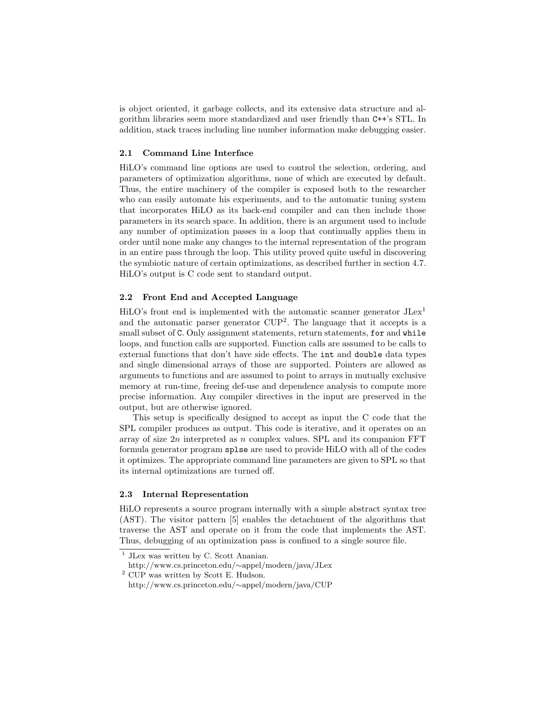is object oriented, it garbage collects, and its extensive data structure and algorithm libraries seem more standardized and user friendly than C++'s STL. In addition, stack traces including line number information make debugging easier.

#### 2.1 Command Line Interface

HiLO's command line options are used to control the selection, ordering, and parameters of optimization algorithms, none of which are executed by default. Thus, the entire machinery of the compiler is exposed both to the researcher who can easily automate his experiments, and to the automatic tuning system that incorporates HiLO as its back-end compiler and can then include those parameters in its search space. In addition, there is an argument used to include any number of optimization passes in a loop that continually applies them in order until none make any changes to the internal representation of the program in an entire pass through the loop. This utility proved quite useful in discovering the symbiotic nature of certain optimizations, as described further in section 4.7. HiLO's output is C code sent to standard output.

## 2.2 Front End and Accepted Language

HiLO's front end is implemented with the automatic scanner generator  $JLex<sup>1</sup>$ and the automatic parser generator CUP<sup>2</sup>. The language that it accepts is a small subset of C. Only assignment statements, return statements, for and while loops, and function calls are supported. Function calls are assumed to be calls to external functions that don't have side effects. The int and double data types and single dimensional arrays of those are supported. Pointers are allowed as arguments to functions and are assumed to point to arrays in mutually exclusive memory at run-time, freeing def-use and dependence analysis to compute more precise information. Any compiler directives in the input are preserved in the output, but are otherwise ignored.

This setup is specifically designed to accept as input the C code that the SPL compiler produces as output. This code is iterative, and it operates on an array of size  $2n$  interpreted as n complex values. SPL and its companion FFT formula generator program splse are used to provide HiLO with all of the codes it optimizes. The appropriate command line parameters are given to SPL so that its internal optimizations are turned off.

### 2.3 Internal Representation

HiLO represents a source program internally with a simple abstract syntax tree (AST). The visitor pattern [5] enables the detachment of the algorithms that traverse the AST and operate on it from the code that implements the AST. Thus, debugging of an optimization pass is confined to a single source file.

 $^2$  CUP was written by Scott E. Hudson.

<sup>1</sup> JLex was written by C. Scott Ananian.

http://www.cs.princeton.edu/∼appel/modern/java/JLex

http://www.cs.princeton.edu/∼appel/modern/java/CUP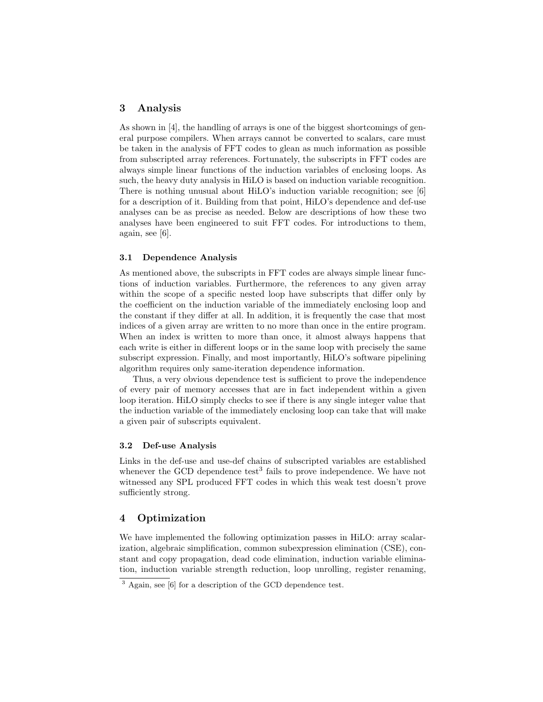# 3 Analysis

As shown in [4], the handling of arrays is one of the biggest shortcomings of general purpose compilers. When arrays cannot be converted to scalars, care must be taken in the analysis of FFT codes to glean as much information as possible from subscripted array references. Fortunately, the subscripts in FFT codes are always simple linear functions of the induction variables of enclosing loops. As such, the heavy duty analysis in HiLO is based on induction variable recognition. There is nothing unusual about HiLO's induction variable recognition; see [6] for a description of it. Building from that point, HiLO's dependence and def-use analyses can be as precise as needed. Below are descriptions of how these two analyses have been engineered to suit FFT codes. For introductions to them, again, see [6].

# 3.1 Dependence Analysis

As mentioned above, the subscripts in FFT codes are always simple linear functions of induction variables. Furthermore, the references to any given array within the scope of a specific nested loop have subscripts that differ only by the coefficient on the induction variable of the immediately enclosing loop and the constant if they differ at all. In addition, it is frequently the case that most indices of a given array are written to no more than once in the entire program. When an index is written to more than once, it almost always happens that each write is either in different loops or in the same loop with precisely the same subscript expression. Finally, and most importantly, HiLO's software pipelining algorithm requires only same-iteration dependence information.

Thus, a very obvious dependence test is sufficient to prove the independence of every pair of memory accesses that are in fact independent within a given loop iteration. HiLO simply checks to see if there is any single integer value that the induction variable of the immediately enclosing loop can take that will make a given pair of subscripts equivalent.

### 3.2 Def-use Analysis

Links in the def-use and use-def chains of subscripted variables are established whenever the GCD dependence test<sup>3</sup> fails to prove independence. We have not witnessed any SPL produced FFT codes in which this weak test doesn't prove sufficiently strong.

# 4 Optimization

We have implemented the following optimization passes in HiLO: array scalarization, algebraic simplification, common subexpression elimination (CSE), constant and copy propagation, dead code elimination, induction variable elimination, induction variable strength reduction, loop unrolling, register renaming,

 $\overline{\text{3} \text{ Again, see [6]}}$  for a description of the GCD dependence test.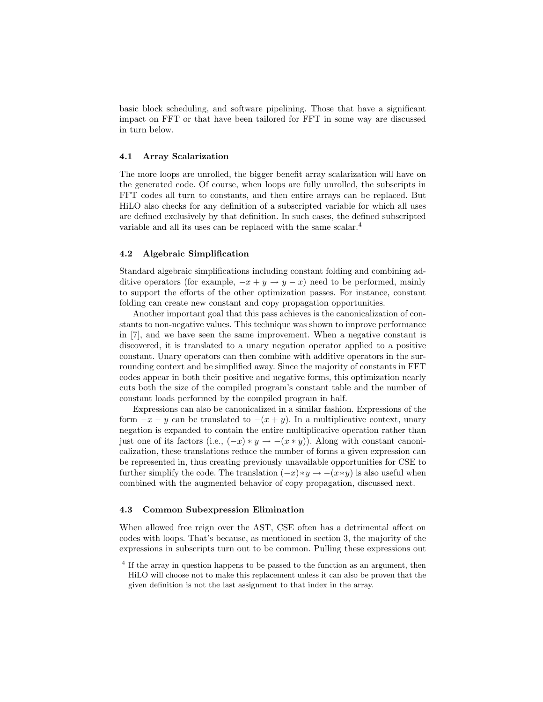basic block scheduling, and software pipelining. Those that have a significant impact on FFT or that have been tailored for FFT in some way are discussed in turn below.

### 4.1 Array Scalarization

The more loops are unrolled, the bigger benefit array scalarization will have on the generated code. Of course, when loops are fully unrolled, the subscripts in FFT codes all turn to constants, and then entire arrays can be replaced. But HiLO also checks for any definition of a subscripted variable for which all uses are defined exclusively by that definition. In such cases, the defined subscripted variable and all its uses can be replaced with the same scalar. 4

### 4.2 Algebraic Simplification

Standard algebraic simplifications including constant folding and combining additive operators (for example,  $-x + y \rightarrow y - x$ ) need to be performed, mainly to support the efforts of the other optimization passes. For instance, constant folding can create new constant and copy propagation opportunities.

Another important goal that this pass achieves is the canonicalization of constants to non-negative values. This technique was shown to improve performance in [7], and we have seen the same improvement. When a negative constant is discovered, it is translated to a unary negation operator applied to a positive constant. Unary operators can then combine with additive operators in the surrounding context and be simplified away. Since the majority of constants in FFT codes appear in both their positive and negative forms, this optimization nearly cuts both the size of the compiled program's constant table and the number of constant loads performed by the compiled program in half.

Expressions can also be canonicalized in a similar fashion. Expressions of the form  $-x - y$  can be translated to  $-(x + y)$ . In a multiplicative context, unary negation is expanded to contain the entire multiplicative operation rather than just one of its factors (i.e.,  $(-x) * y \rightarrow -(x * y)$ ). Along with constant canonicalization, these translations reduce the number of forms a given expression can be represented in, thus creating previously unavailable opportunities for CSE to further simplify the code. The translation  $(-x)*y \rightarrow -(x*y)$  is also useful when combined with the augmented behavior of copy propagation, discussed next.

#### 4.3 Common Subexpression Elimination

When allowed free reign over the AST, CSE often has a detrimental affect on codes with loops. That's because, as mentioned in section 3, the majority of the expressions in subscripts turn out to be common. Pulling these expressions out

<sup>&</sup>lt;sup>4</sup> If the array in question happens to be passed to the function as an argument, then HiLO will choose not to make this replacement unless it can also be proven that the given definition is not the last assignment to that index in the array.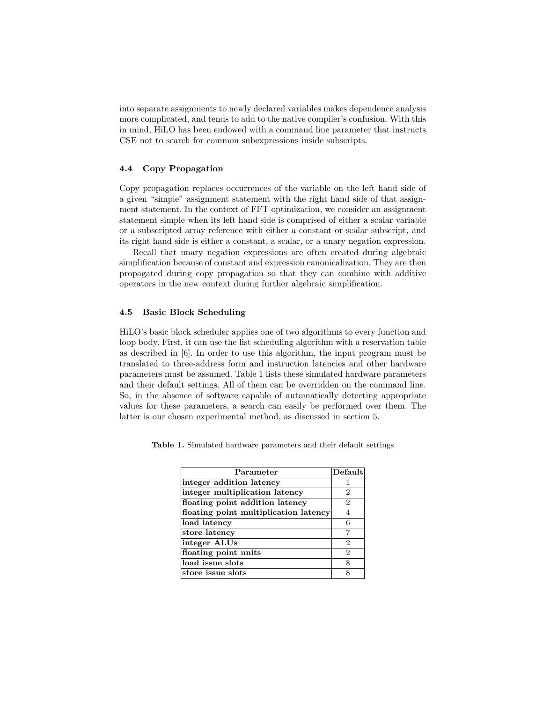into separate assignments to newly declared variables makes dependence analysis more complicated, and tends to add to the native compiler's confusion. With this in mind, HiLO has been endowed with a command line parameter that instructs CSE not to search for common subexpressions inside subscripts.

# 4.4 Copy Propagation

Copy propagation replaces occurrences of the variable on the left hand side of a given "simple" assignment statement with the right hand side of that assignment statement. In the context of FFT optimization, we consider an assignment statement simple when its left hand side is comprised of either a scalar variable or a subscripted array reference with either a constant or scalar subscript, and its right hand side is either a constant, a scalar, or a unary negation expression.

Recall that unary negation expressions are often created during algebraic simplification because of constant and expression canonicalization. They are then propagated during copy propagation so that they can combine with additive operators in the new context during further algebraic simplification.

### 4.5 Basic Block Scheduling

HiLO's basic block scheduler applies one of two algorithms to every function and loop body. First, it can use the list scheduling algorithm with a reservation table as described in [6]. In order to use this algorithm, the input program must be translated to three-address form and instruction latencies and other hardware parameters must be assumed. Table 1 lists these simulated hardware parameters and their default settings. All of them can be overridden on the command line. So, in the absence of software capable of automatically detecting appropriate values for these parameters, a search can easily be performed over them. The latter is our chosen experimental method, as discussed in section 5.

| Parameter                             | Default                     |
|---------------------------------------|-----------------------------|
| integer addition latency              |                             |
| integer multiplication latency        | $\overline{2}$              |
| floating point addition latency       | $\overline{2}$              |
| floating point multiplication latency |                             |
| load latency                          | 6                           |
| store latency                         |                             |
| integer ALUs                          | 2                           |
| floating point units                  | $\mathcal{D}_{\mathcal{L}}$ |
| load issue slots                      | 8                           |
| store issue slots                     |                             |

Table 1. Simulated hardware parameters and their default settings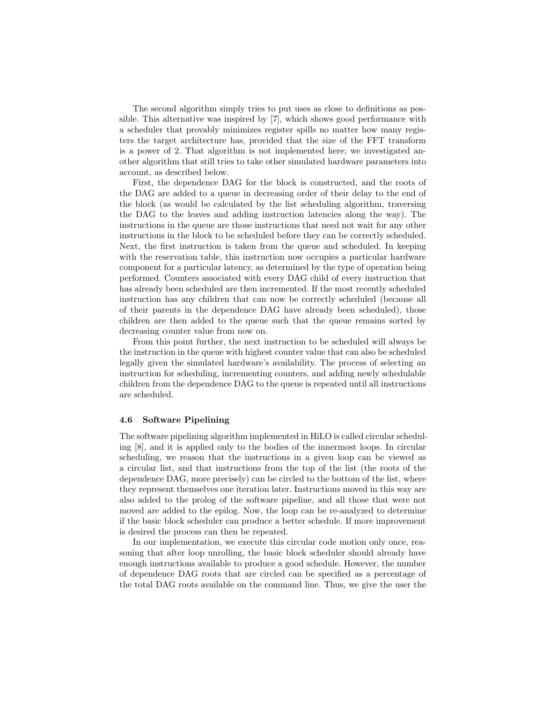The second algorithm simply tries to put uses as close to definitions as possible. This alternative was inspired by [7], which shows good performance with a scheduler that provably minimizes register spills no matter how many registers the target architecture has, provided that the size of the FFT transform is a power of 2. That algorithm is not implemented here; we investigated another algorithm that still tries to take other simulated hardware parameters into account, as described below.

First, the dependence DAG for the block is constructed, and the roots of the DAG are added to a queue in decreasing order of their delay to the end of the block (as would be calculated by the list scheduling algorithm, traversing the DAG to the leaves and adding instruction latencies along the way). The instructions in the queue are those instructions that need not wait for any other instructions in the block to be scheduled before they can be correctly scheduled. Next, the first instruction is taken from the queue and scheduled. In keeping with the reservation table, this instruction now occupies a particular hardware component for a particular latency, as determined by the type of operation being performed. Counters associated with every DAG child of every instruction that has already been scheduled are then incremented. If the most recently scheduled instruction has any children that can now be correctly scheduled (because all of their parents in the dependence DAG have already been scheduled), those children are then added to the queue such that the queue remains sorted by decreasing counter value from now on.

From this point further, the next instruction to be scheduled will always be the instruction in the queue with highest counter value that can also be scheduled legally given the simulated hardware's availability. The process of selecting an instruction for scheduling, incrementing counters, and adding newly schedulable children from the dependence DAG to the queue is repeated until all instructions are scheduled.

#### 4.6 Software Pipelining

The software pipelining algorithm implemented in HiLO is called circular scheduling [8], and it is applied only to the bodies of the innermost loops. In circular scheduling, we reason that the instructions in a given loop can be viewed as a circular list, and that instructions from the top of the list (the roots of the dependence DAG, more precisely) can be circled to the bottom of the list, where they represent themselves one iteration later. Instructions moved in this way are also added to the prolog of the software pipeline, and all those that were not moved are added to the epilog. Now, the loop can be re-analyzed to determine if the basic block scheduler can produce a better schedule. If more improvement is desired the process can then be repeated.

In our implementation, we execute this circular code motion only once, reasoning that after loop unrolling, the basic block scheduler should already have enough instructions available to produce a good schedule. However, the number of dependence DAG roots that are circled can be specified as a percentage of the total DAG roots available on the command line. Thus, we give the user the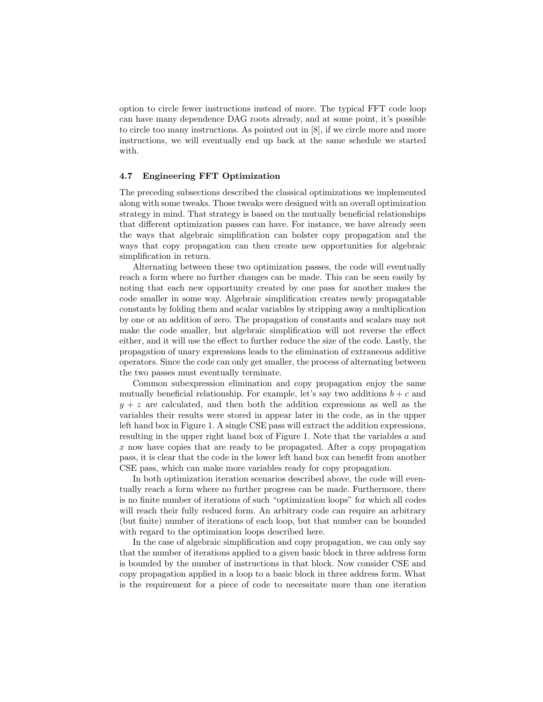option to circle fewer instructions instead of more. The typical FFT code loop can have many dependence DAG roots already, and at some point, it's possible to circle too many instructions. As pointed out in [8], if we circle more and more instructions, we will eventually end up back at the same schedule we started with.

### 4.7 Engineering FFT Optimization

The preceding subsections described the classical optimizations we implemented along with some tweaks. Those tweaks were designed with an overall optimization strategy in mind. That strategy is based on the mutually beneficial relationships that different optimization passes can have. For instance, we have already seen the ways that algebraic simplification can bolster copy propagation and the ways that copy propagation can then create new opportunities for algebraic simplification in return.

Alternating between these two optimization passes, the code will eventually reach a form where no further changes can be made. This can be seen easily by noting that each new opportunity created by one pass for another makes the code smaller in some way. Algebraic simplification creates newly propagatable constants by folding them and scalar variables by stripping away a multiplication by one or an addition of zero. The propagation of constants and scalars may not make the code smaller, but algebraic simplification will not reverse the effect either, and it will use the effect to further reduce the size of the code. Lastly, the propagation of unary expressions leads to the elimination of extraneous additive operators. Since the code can only get smaller, the process of alternating between the two passes must eventually terminate.

Common subexpression elimination and copy propagation enjoy the same mutually beneficial relationship. For example, let's say two additions  $b + c$  and  $y + z$  are calculated, and then both the addition expressions as well as the variables their results were stored in appear later in the code, as in the upper left hand box in Figure 1. A single CSE pass will extract the addition expressions, resulting in the upper right hand box of Figure 1. Note that the variables a and x now have copies that are ready to be propagated. After a copy propagation pass, it is clear that the code in the lower left hand box can benefit from another CSE pass, which can make more variables ready for copy propagation.

In both optimization iteration scenarios described above, the code will eventually reach a form where no further progress can be made. Furthermore, there is no finite number of iterations of such "optimization loops" for which all codes will reach their fully reduced form. An arbitrary code can require an arbitrary (but finite) number of iterations of each loop, but that number can be bounded with regard to the optimization loops described here.

In the case of algebraic simplification and copy propagation, we can only say that the number of iterations applied to a given basic block in three address form is bounded by the number of instructions in that block. Now consider CSE and copy propagation applied in a loop to a basic block in three address form. What is the requirement for a piece of code to necessitate more than one iteration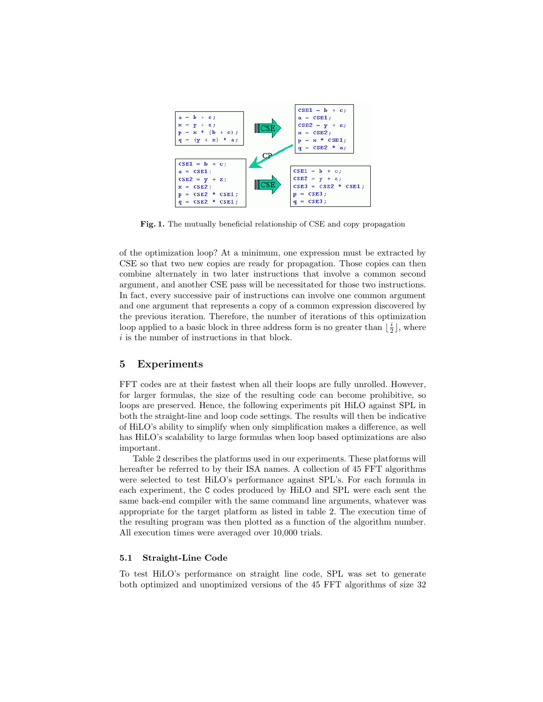

Fig. 1. The mutually beneficial relationship of CSE and copy propagation

of the optimization loop? At a minimum, one expression must be extracted by CSE so that two new copies are ready for propagation. Those copies can then combine alternately in two later instructions that involve a common second argument, and another CSE pass will be necessitated for those two instructions. In fact, every successive pair of instructions can involve one common argument and one argument that represents a copy of a common expression discovered by the previous iteration. Therefore, the number of iterations of this optimization loop applied to a basic block in three address form is no greater than  $\lfloor \frac{i}{2} \rfloor$ , where  $i$  is the number of instructions in that block.

# 5 Experiments

FFT codes are at their fastest when all their loops are fully unrolled. However, for larger formulas, the size of the resulting code can become prohibitive, so loops are preserved. Hence, the following experiments pit HiLO against SPL in both the straight-line and loop code settings. The results will then be indicative of HiLO's ability to simplify when only simplification makes a difference, as well has HiLO's scalability to large formulas when loop based optimizations are also important.

Table 2 describes the platforms used in our experiments. These platforms will hereafter be referred to by their ISA names. A collection of 45 FFT algorithms were selected to test HiLO's performance against SPL's. For each formula in each experiment, the C codes produced by HiLO and SPL were each sent the same back-end compiler with the same command line arguments, whatever was appropriate for the target platform as listed in table 2. The execution time of the resulting program was then plotted as a function of the algorithm number. All execution times were averaged over 10,000 trials.

### 5.1 Straight-Line Code

To test HiLO's performance on straight line code, SPL was set to generate both optimized and unoptimized versions of the 45 FFT algorithms of size 32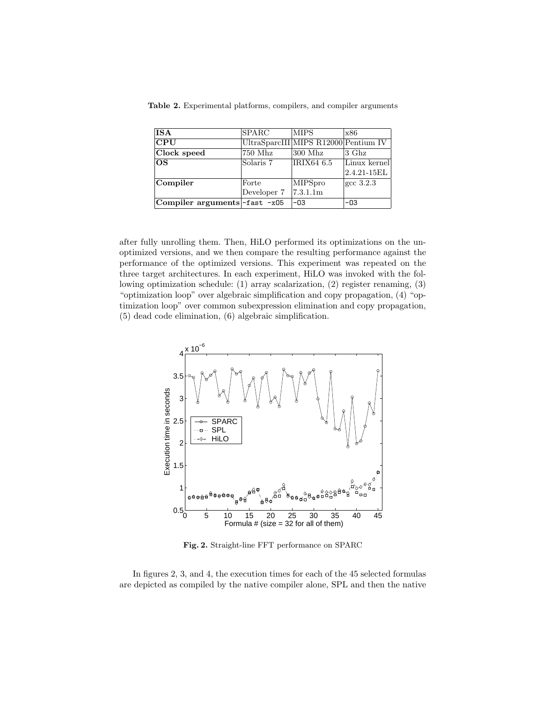| <b>ISA</b>                   | <b>SPARC</b> | <b>MIPS</b>                          | x86             |
|------------------------------|--------------|--------------------------------------|-----------------|
| <b>CPU</b>                   |              | UltraSparcIII MIPS R12000 Pentium IV |                 |
| Clock speed                  | 750 Mhz      | $300$ Mhz                            | $3 \text{ Ghz}$ |
| OS                           | Solaris 7    | IRIX64 6.5                           | Linux kernel    |
|                              |              |                                      | 2.4.21-15EL     |
| Compiler                     | Forte        | <b>MIPSpro</b>                       | $\gcd 3.2.3$    |
|                              | Developer 7  | 7.3.1.1m                             |                 |
| Compiler arguments-fast -x05 |              | $-03$                                | -03             |

Table 2. Experimental platforms, compilers, and compiler arguments

after fully unrolling them. Then, HiLO performed its optimizations on the unoptimized versions, and we then compare the resulting performance against the performance of the optimized versions. This experiment was repeated on the three target architectures. In each experiment, HiLO was invoked with the following optimization schedule: (1) array scalarization, (2) register renaming, (3) "optimization loop" over algebraic simplification and copy propagation, (4) "optimization loop" over common subexpression elimination and copy propagation, (5) dead code elimination, (6) algebraic simplification.



Fig. 2. Straight-line FFT performance on SPARC

In figures 2, 3, and 4, the execution times for each of the 45 selected formulas are depicted as compiled by the native compiler alone, SPL and then the native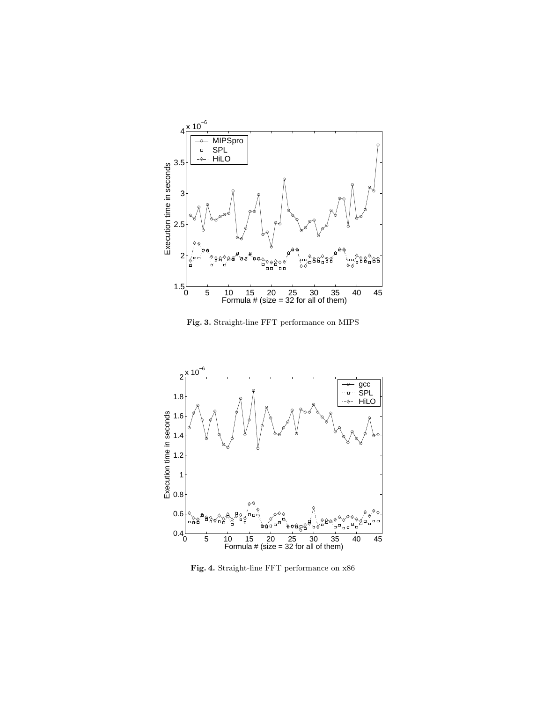

Fig. 3. Straight-line FFT performance on MIPS



 ${\bf Fig. \,4.}$  Straight-line FFT performance on  $x86$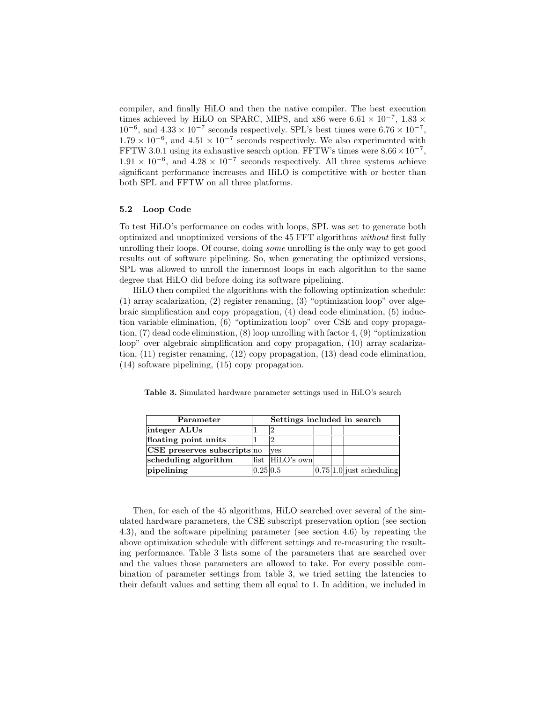compiler, and finally HiLO and then the native compiler. The best execution times achieved by HiLO on SPARC, MIPS, and x86 were  $6.61 \times 10^{-7}$ ,  $1.83 \times$  $10^{-6}$ , and  $4.33 \times 10^{-7}$  seconds respectively. SPL's best times were  $6.76 \times 10^{-7}$ ,  $1.79 \times 10^{-6}$ , and  $4.51 \times 10^{-7}$  seconds respectively. We also experimented with FFTW 3.0.1 using its exhaustive search option. FFTW's times were  $8.66 \times 10^{-7}$ ,  $1.91 \times 10^{-6}$ , and  $4.28 \times 10^{-7}$  seconds respectively. All three systems achieve significant performance increases and HiLO is competitive with or better than both SPL and FFTW on all three platforms.

### 5.2 Loop Code

To test HiLO's performance on codes with loops, SPL was set to generate both optimized and unoptimized versions of the 45 FFT algorithms without first fully unrolling their loops. Of course, doing some unrolling is the only way to get good results out of software pipelining. So, when generating the optimized versions, SPL was allowed to unroll the innermost loops in each algorithm to the same degree that HiLO did before doing its software pipelining.

HiLO then compiled the algorithms with the following optimization schedule: (1) array scalarization, (2) register renaming, (3) "optimization loop" over algebraic simplification and copy propagation, (4) dead code elimination, (5) induction variable elimination, (6) "optimization loop" over CSE and copy propagation, (7) dead code elimination, (8) loop unrolling with factor 4, (9) "optimization loop" over algebraic simplification and copy propagation, (10) array scalarization, (11) register renaming, (12) copy propagation, (13) dead code elimination, (14) software pipelining, (15) copy propagation.

| Parameter                      | Settings included in search. |                 |  |  |                                               |
|--------------------------------|------------------------------|-----------------|--|--|-----------------------------------------------|
| integer ALUs                   |                              |                 |  |  |                                               |
| floating point units           |                              |                 |  |  |                                               |
| $ CSE$ preserves subscripts no |                              | <b>ves</b>      |  |  |                                               |
| scheduling algorithm           |                              | list HiLO's own |  |  |                                               |
| pipelining                     | 0.25 0.5                     |                 |  |  | $\boxed{0.75}$ <sup>1.0</sup> just scheduling |

Table 3. Simulated hardware parameter settings used in HiLO's search

Then, for each of the 45 algorithms, HiLO searched over several of the simulated hardware parameters, the CSE subscript preservation option (see section 4.3), and the software pipelining parameter (see section 4.6) by repeating the above optimization schedule with different settings and re-measuring the resulting performance. Table 3 lists some of the parameters that are searched over and the values those parameters are allowed to take. For every possible combination of parameter settings from table 3, we tried setting the latencies to their default values and setting them all equal to 1. In addition, we included in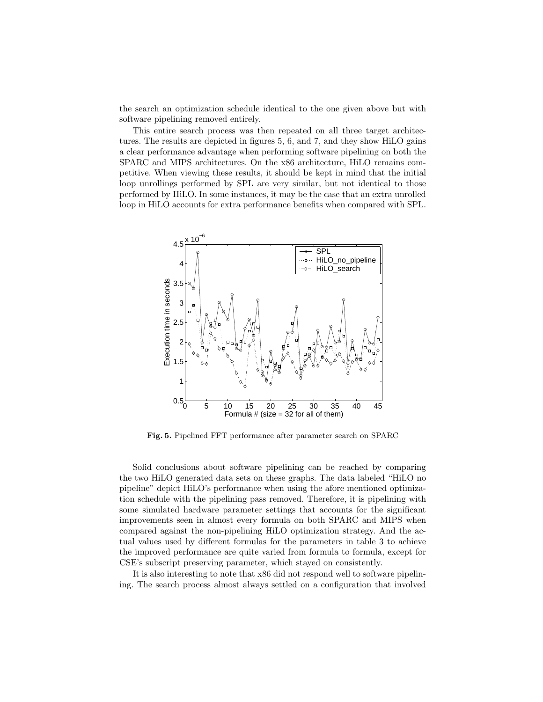the search an optimization schedule identical to the one given above but with software pipelining removed entirely.

This entire search process was then repeated on all three target architectures. The results are depicted in figures 5, 6, and 7, and they show HiLO gains a clear performance advantage when performing software pipelining on both the SPARC and MIPS architectures. On the x86 architecture, HiLO remains competitive. When viewing these results, it should be kept in mind that the initial loop unrollings performed by SPL are very similar, but not identical to those performed by HiLO. In some instances, it may be the case that an extra unrolled loop in HiLO accounts for extra performance benefits when compared with SPL.



Fig. 5. Pipelined FFT performance after parameter search on SPARC

Solid conclusions about software pipelining can be reached by comparing the two HiLO generated data sets on these graphs. The data labeled "HiLO no pipeline" depict HiLO's performance when using the afore mentioned optimization schedule with the pipelining pass removed. Therefore, it is pipelining with some simulated hardware parameter settings that accounts for the significant improvements seen in almost every formula on both SPARC and MIPS when compared against the non-pipelining HiLO optimization strategy. And the actual values used by different formulas for the parameters in table 3 to achieve the improved performance are quite varied from formula to formula, except for CSE's subscript preserving parameter, which stayed on consistently.

It is also interesting to note that x86 did not respond well to software pipelining. The search process almost always settled on a configuration that involved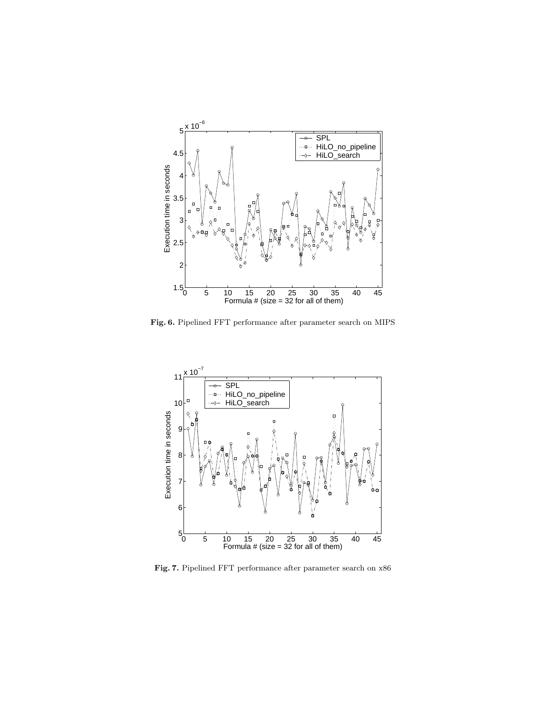

Fig. 6. Pipelined FFT performance after parameter search on MIPS



 $\mbox{\bf Fig. 7.}$  Pipelined FFT performance after parameter search on<br>  $x86$